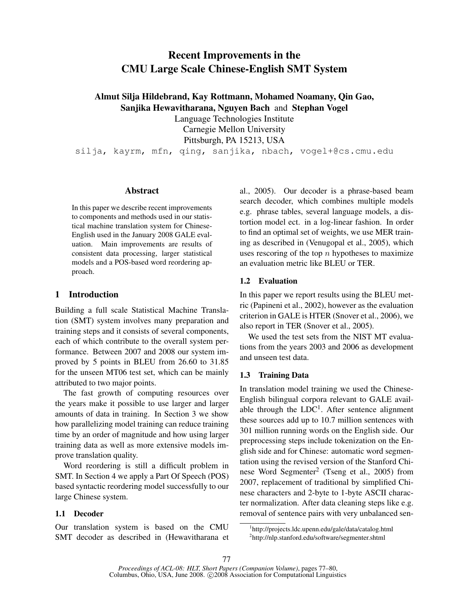# Recent Improvements in the CMU Large Scale Chinese-English SMT System

Almut Silja Hildebrand, Kay Rottmann, Mohamed Noamany, Qin Gao, Sanjika Hewavitharana, Nguyen Bach and Stephan Vogel

Language Technologies Institute

Carnegie Mellon University Pittsburgh, PA 15213, USA

silja, kayrm, mfn, qing, sanjika, nbach, vogel+@cs.cmu.edu

#### Abstract

In this paper we describe recent improvements to components and methods used in our statistical machine translation system for Chinese-English used in the January 2008 GALE evaluation. Main improvements are results of consistent data processing, larger statistical models and a POS-based word reordering approach.

## 1 Introduction

Building a full scale Statistical Machine Translation (SMT) system involves many preparation and training steps and it consists of several components, each of which contribute to the overall system performance. Between 2007 and 2008 our system improved by 5 points in BLEU from 26.60 to 31.85 for the unseen MT06 test set, which can be mainly attributed to two major points.

The fast growth of computing resources over the years make it possible to use larger and larger amounts of data in training. In Section 3 we show how parallelizing model training can reduce training time by an order of magnitude and how using larger training data as well as more extensive models improve translation quality.

Word reordering is still a difficult problem in SMT. In Section 4 we apply a Part Of Speech (POS) based syntactic reordering model successfully to our large Chinese system.

### 1.1 Decoder

Our translation system is based on the CMU SMT decoder as described in (Hewavitharana et al., 2005). Our decoder is a phrase-based beam search decoder, which combines multiple models e.g. phrase tables, several language models, a distortion model ect. in a log-linear fashion. In order to find an optimal set of weights, we use MER training as described in (Venugopal et al., 2005), which uses rescoring of the top  $n$  hypotheses to maximize an evaluation metric like BLEU or TER.

### 1.2 Evaluation

In this paper we report results using the BLEU metric (Papineni et al., 2002), however as the evaluation criterion in GALE is HTER (Snover et al., 2006), we also report in TER (Snover et al., 2005).

We used the test sets from the NIST MT evaluations from the years 2003 and 2006 as development and unseen test data.

#### 1.3 Training Data

In translation model training we used the Chinese-English bilingual corpora relevant to GALE available through the  $LDC<sup>1</sup>$ . After sentence alignment these sources add up to 10.7 million sentences with 301 million running words on the English side. Our preprocessing steps include tokenization on the English side and for Chinese: automatic word segmentation using the revised version of the Stanford Chinese Word Segmenter<sup>2</sup> (Tseng et al., 2005) from 2007, replacement of traditional by simplified Chinese characters and 2-byte to 1-byte ASCII character normalization. After data cleaning steps like e.g. removal of sentence pairs with very unbalanced sen-

<sup>1</sup> http://projects.ldc.upenn.edu/gale/data/catalog.html 2 http://nlp.stanford.edu/software/segmenter.shtml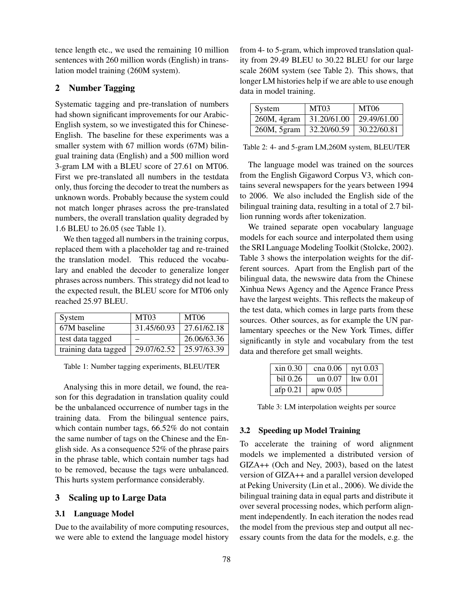tence length etc., we used the remaining 10 million sentences with 260 million words (English) in translation model training (260M system).

## 2 Number Tagging

Systematic tagging and pre-translation of numbers had shown significant improvements for our Arabic-English system, so we investigated this for Chinese-English. The baseline for these experiments was a smaller system with 67 million words (67M) bilingual training data (English) and a 500 million word 3-gram LM with a BLEU score of 27.61 on MT06. First we pre-translated all numbers in the testdata only, thus forcing the decoder to treat the numbers as unknown words. Probably because the system could not match longer phrases across the pre-translated numbers, the overall translation quality degraded by 1.6 BLEU to 26.05 (see Table 1).

We then tagged all numbers in the training corpus, replaced them with a placeholder tag and re-trained the translation model. This reduced the vocabulary and enabled the decoder to generalize longer phrases across numbers. This strategy did not lead to the expected result, the BLEU score for MT06 only reached 25.97 BLEU.

| System               | MT <sub>03</sub> | <b>MT06</b> |
|----------------------|------------------|-------------|
| 67M baseline         | 31.45/60.93      | 27.61/62.18 |
| test data tagged     |                  | 26.06/63.36 |
| training data tagged | 29.07/62.52      | 25.97/63.39 |

Table 1: Number tagging experiments, BLEU/TER

Analysing this in more detail, we found, the reason for this degradation in translation quality could be the unbalanced occurrence of number tags in the training data. From the bilingual sentence pairs, which contain number tags, 66.52% do not contain the same number of tags on the Chinese and the English side. As a consequence 52% of the phrase pairs in the phrase table, which contain number tags had to be removed, because the tags were unbalanced. This hurts system performance considerably.

## 3 Scaling up to Large Data

#### 3.1 Language Model

Due to the availability of more computing resources, we were able to extend the language model history from 4- to 5-gram, which improved translation quality from 29.49 BLEU to 30.22 BLEU for our large scale 260M system (see Table 2). This shows, that longer LM histories help if we are able to use enough data in model training.

| System      | MT <sub>03</sub> | MT06        |
|-------------|------------------|-------------|
| 260M, 4gram | 31.20/61.00      | 29.49/61.00 |
| 260M, 5gram | 32.20/60.59      | 30.22/60.81 |

Table 2: 4- and 5-gram LM,260M system, BLEU/TER

The language model was trained on the sources from the English Gigaword Corpus V3, which contains several newspapers for the years between 1994 to 2006. We also included the English side of the bilingual training data, resulting in a total of 2.7 billion running words after tokenization.

We trained separate open vocabulary language models for each source and interpolated them using the SRI Language Modeling Toolkit (Stolcke, 2002). Table 3 shows the interpolation weights for the different sources. Apart from the English part of the bilingual data, the newswire data from the Chinese Xinhua News Agency and the Agence France Press have the largest weights. This reflects the makeup of the test data, which comes in large parts from these sources. Other sources, as for example the UN parlamentary speeches or the New York Times, differ significantly in style and vocabulary from the test data and therefore get small weights.

| xin 0.30 | cna $0.06$   nyt $0.03$ |            |
|----------|-------------------------|------------|
| bil 0.26 | un $0.07$               | 1tw $0.01$ |
| afp 0.21 | apw $0.05$              |            |

Table 3: LM interpolation weights per source

#### 3.2 Speeding up Model Training

To accelerate the training of word alignment models we implemented a distributed version of GIZA++ (Och and Ney, 2003), based on the latest version of GIZA++ and a parallel version developed at Peking University (Lin et al., 2006). We divide the bilingual training data in equal parts and distribute it over several processing nodes, which perform alignment independently. In each iteration the nodes read the model from the previous step and output all necessary counts from the data for the models, e.g. the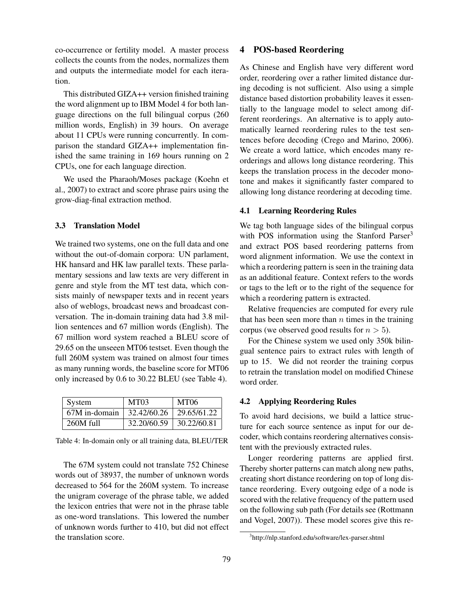co-occurrence or fertility model. A master process collects the counts from the nodes, normalizes them and outputs the intermediate model for each iteration.

This distributed GIZA++ version finished training the word alignment up to IBM Model 4 for both language directions on the full bilingual corpus (260 million words, English) in 39 hours. On average about 11 CPUs were running concurrently. In comparison the standard GIZA++ implementation finished the same training in 169 hours running on 2 CPUs, one for each language direction.

We used the Pharaoh/Moses package (Koehn et al., 2007) to extract and score phrase pairs using the grow-diag-final extraction method.

#### 3.3 Translation Model

We trained two systems, one on the full data and one without the out-of-domain corpora: UN parlament, HK hansard and HK law parallel texts. These parlamentary sessions and law texts are very different in genre and style from the MT test data, which consists mainly of newspaper texts and in recent years also of weblogs, broadcast news and broadcast conversation. The in-domain training data had 3.8 million sentences and 67 million words (English). The 67 million word system reached a BLEU score of 29.65 on the unseeen MT06 testset. Even though the full 260M system was trained on almost four times as many running words, the baseline score for MT06 only increased by 0.6 to 30.22 BLEU (see Table 4).

| System        | MT <sub>03</sub> | <b>MT06</b>              |
|---------------|------------------|--------------------------|
| 67M in-domain | 32.42/60.26      | $\frac{1}{29.65}{61.22}$ |
| 260M full     | 32.20/60.59      | 30.22/60.81              |

Table 4: In-domain only or all training data, BLEU/TER

The 67M system could not translate 752 Chinese words out of 38937, the number of unknown words decreased to 564 for the 260M system. To increase the unigram coverage of the phrase table, we added the lexicon entries that were not in the phrase table as one-word translations. This lowered the number of unknown words further to 410, but did not effect the translation score.

### 4 POS-based Reordering

As Chinese and English have very different word order, reordering over a rather limited distance during decoding is not sufficient. Also using a simple distance based distortion probability leaves it essentially to the language model to select among different reorderings. An alternative is to apply automatically learned reordering rules to the test sentences before decoding (Crego and Marino, 2006). We create a word lattice, which encodes many reorderings and allows long distance reordering. This keeps the translation process in the decoder monotone and makes it significantly faster compared to allowing long distance reordering at decoding time.

#### 4.1 Learning Reordering Rules

We tag both language sides of the bilingual corpus with POS information using the Stanford Parser<sup>3</sup> and extract POS based reordering patterns from word alignment information. We use the context in which a reordering pattern is seen in the training data as an additional feature. Context refers to the words or tags to the left or to the right of the sequence for which a reordering pattern is extracted.

Relative frequencies are computed for every rule that has been seen more than  $n$  times in the training corpus (we observed good results for  $n > 5$ ).

For the Chinese system we used only 350k bilingual sentence pairs to extract rules with length of up to 15. We did not reorder the training corpus to retrain the translation model on modified Chinese word order.

#### 4.2 Applying Reordering Rules

To avoid hard decisions, we build a lattice structure for each source sentence as input for our decoder, which contains reordering alternatives consistent with the previously extracted rules.

Longer reordering patterns are applied first. Thereby shorter patterns can match along new paths, creating short distance reordering on top of long distance reordering. Every outgoing edge of a node is scored with the relative frequency of the pattern used on the following sub path (For details see (Rottmann and Vogel, 2007)). These model scores give this re-

<sup>3</sup> http://nlp.stanford.edu/software/lex-parser.shtml